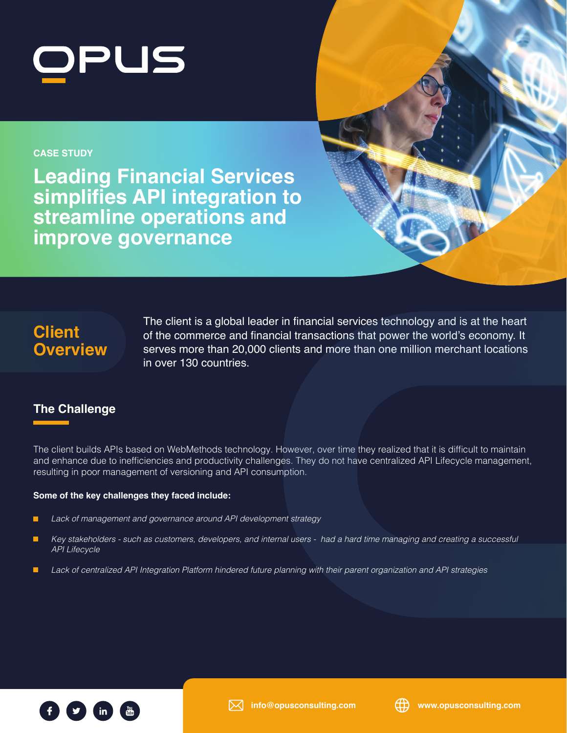

### **CASE STUDY**

**Leading Financial Services simplifies API integration to streamline operations and improve governance**



# **Client Overview**

The client is a global leader in financial services technology and is at the heart of the commerce and financial transactions that power the world's economy. It serves more than 20,000 clients and more than one million merchant locations in over 130 countries.

## **The Challenge**

The client builds APIs based on WebMethods technology. However, over time they realized that it is difficult to maintain and enhance due to inefficiencies and productivity challenges. They do not have centralized API Lifecycle management, resulting in poor management of versioning and API consumption.

### **Some of the key challenges they faced include:**

- г *Lack of management and governance around API development strategy*
- *Key stakeholders such as customers, developers, and internal users had a hard time managing and creating a successful*  г *API Lifecycle*
- п *Lack of centralized API Integration Platform hindered future planning with their parent organization and API strategies*